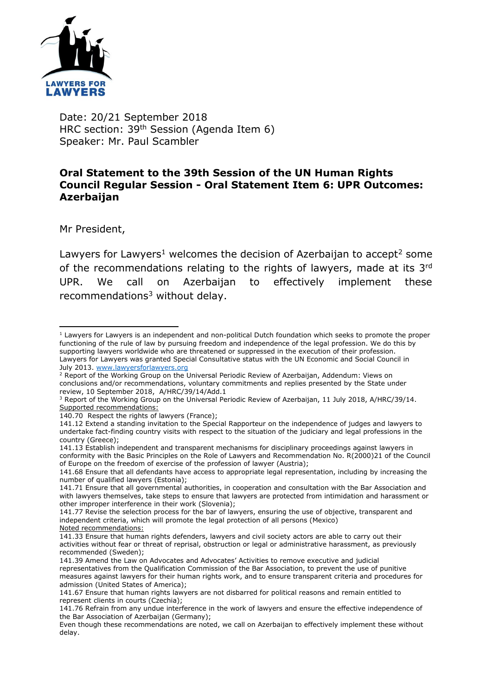

Date: 20/21 September 2018 HRC section: 39th Session (Agenda Item 6) Speaker: Mr. Paul Scambler

## **Oral Statement to the 39th Session of the UN Human Rights Council Regular Session - Oral Statement Item 6: UPR Outcomes: Azerbaijan**

Mr President,

**.** 

Lawyers for Lawyers<sup>1</sup> welcomes the decision of Azerbaijan to accept<sup>2</sup> some of the recommendations relating to the rights of lawyers, made at its 3rd UPR. We call on Azerbaijan to effectively implement these recommendations<sup>3</sup> without delay.

140.70 Respect the rights of lawyers (France);

<sup>1</sup> Lawyers for Lawyers is an independent and non-political Dutch foundation which seeks to promote the proper functioning of the rule of law by pursuing freedom and independence of the legal profession. We do this by supporting lawyers worldwide who are threatened or suppressed in the execution of their profession. Lawyers for Lawyers was granted Special Consultative status with the UN Economic and Social Council in July 2013. [www.lawyersforlawyers.org](http://www.lawyersforlawyers.org/)

<sup>&</sup>lt;sup>2</sup> Report of the Working Group on the Universal Periodic Review of Azerbaijan, Addendum: Views on conclusions and/or recommendations, voluntary commitments and replies presented by the State under review, 10 September 2018, A/HRC/39/14/Add.1

<sup>&</sup>lt;sup>3</sup> Report of the Working Group on the Universal Periodic Review of Azerbaijan, 11 July 2018, A/HRC/39/14. Supported recommendations:

<sup>141.12</sup> Extend a standing invitation to the Special Rapporteur on the independence of judges and lawyers to undertake fact-finding country visits with respect to the situation of the judiciary and legal professions in the country (Greece);

<sup>141.13</sup> Establish independent and transparent mechanisms for disciplinary proceedings against lawyers in conformity with the Basic Principles on the Role of Lawyers and Recommendation No. R(2000)21 of the Council of Europe on the freedom of exercise of the profession of lawyer (Austria);

<sup>141.68</sup> Ensure that all defendants have access to appropriate legal representation, including by increasing the number of qualified lawyers (Estonia);

<sup>141.71</sup> Ensure that all governmental authorities, in cooperation and consultation with the Bar Association and with lawyers themselves, take steps to ensure that lawyers are protected from intimidation and harassment or other improper interference in their work (Slovenia);

<sup>141.77</sup> Revise the selection process for the bar of lawyers, ensuring the use of objective, transparent and independent criteria, which will promote the legal protection of all persons (Mexico)

Noted recommendations: 141.33 Ensure that human rights defenders, lawyers and civil society actors are able to carry out their activities without fear or threat of reprisal, obstruction or legal or administrative harassment, as previously recommended (Sweden);

<sup>141.39</sup> Amend the Law on Advocates and Advocates' Activities to remove executive and judicial representatives from the Qualification Commission of the Bar Association, to prevent the use of punitive measures against lawyers for their human rights work, and to ensure transparent criteria and procedures for admission (United States of America);

<sup>141.67</sup> Ensure that human rights lawyers are not disbarred for political reasons and remain entitled to represent clients in courts (Czechia);

<sup>141.76</sup> Refrain from any undue interference in the work of lawyers and ensure the effective independence of the Bar Association of Azerbaijan (Germany);

Even though these recommendations are noted, we call on Azerbaijan to effectively implement these without delay.